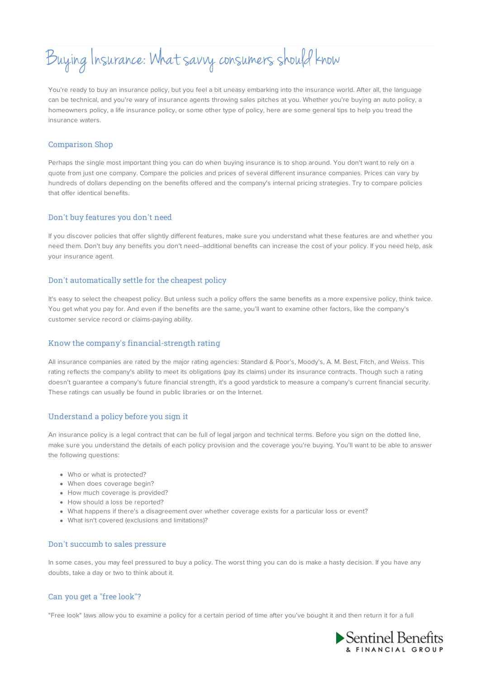# Buying Insurance: What savvy consumers should know

You're ready to buy an insurance policy, but you feel a bit uneasy embarking into the insurance world. After all, the language can be technical, and you're wary of insurance agents throwing sales pitches at you. Whether you're buying an auto policy, a homeowners policy, a life insurance policy, or some other type of policy, here are some general tips to help you tread the insurance waters.

## Comparison Shop

Perhaps the single most important thing you can do when buying insurance is to shop around. You don't want to rely on a quote from just one company. Compare the policies and prices of several different insurance companies. Prices can vary by hundreds of dollars depending on the benefits offered and the company's internal pricing strategies. Try to compare policies that offer identical benefits.

#### Don't buy features you don't need

If you discover policies that offer slightly different features, make sure you understand what these features are and whether you need them. Don't buy any benefits you don't need--additional benefits can increase the cost of your policy. If you need help, ask your insurance agent.

#### Don't automatically settle for the cheapest policy

It's easy to select the cheapest policy. But unless such a policy offers the same benefits as a more expensive policy, think twice. You get what you pay for. And even if the benefits are the same, you'll want to examine other factors, like the company's customer service record or claims-paying ability.

# Know the company's financial-strength rating

All insurance companies are rated by the major rating agencies: Standard & Poor's, Moody's, A. M. Best, Fitch, and Weiss. This rating reflects the company's ability to meet its obligations (pay its claims) under its insurance contracts. Though such a rating doesn't guarantee a company's future financial strength, it's a good yardstick to measure a company's current financial security. These ratings can usually be found in public libraries or on the Internet.

# Understand a policy before you sign it

An insurance policy is a legal contract that can be full of legal jargon and technical terms. Before you sign on the dotted line, make sure you understand the details of each policy provision and the coverage you're buying. You'll want to be able to answer the following questions:

- Who or what is protected?
- When does coverage begin?
- How much coverage is provided?
- How should a loss be reported?
- What happens if there's a disagreement over whether coverage exists for a particular loss or event?
- What isn't covered (exclusions and limitations)?

#### Don't succumb to sales pressure

In some cases, you may feel pressured to buy a policy. The worst thing you can do is make a hasty decision. If you have any doubts, take a day or two to think about it.

# Can you get a "free look"?

"Free look" laws allow you to examine a policy for a certain period of time after you've bought it and then return it for a full